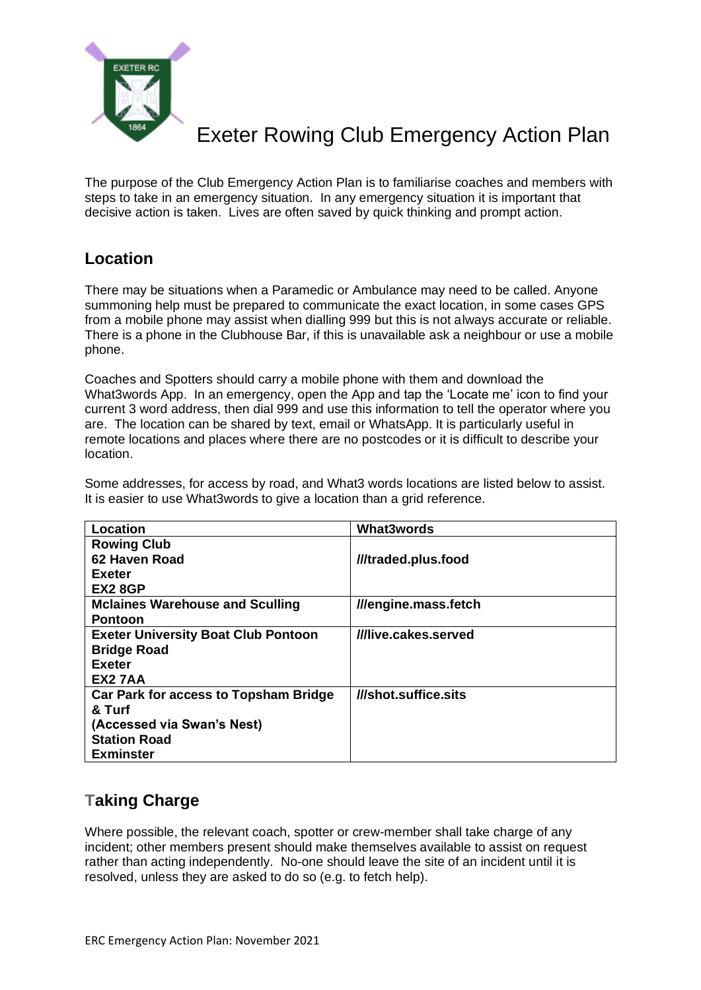

The purpose of the Club Emergency Action Plan is to familiarise coaches and members with steps to take in an emergency situation. In any emergency situation it is important that decisive action is taken. Lives are often saved by quick thinking and prompt action.

#### **Location**

There may be situations when a Paramedic or Ambulance may need to be called. Anyone summoning help must be prepared to communicate the exact location, in some cases GPS from a mobile phone may assist when dialling 999 but this is not always accurate or reliable. There is a phone in the Clubhouse Bar, if this is unavailable ask a neighbour or use a mobile phone.

Coaches and Spotters should carry a mobile phone with them and download the What3words App. In an emergency, open the App and tap the 'Locate me' icon to find your current 3 word address, then dial 999 and use this information to tell the operator where you are. The location can be shared by text, email or WhatsApp. It is particularly useful in remote locations and places where there are no postcodes or it is difficult to describe your location.

Some addresses, for access by road, and What3 words locations are listed below to assist. It is easier to use What3words to give a location than a grid reference.

| <b>Location</b>                            | <b>What3words</b>    |
|--------------------------------------------|----------------------|
| <b>Rowing Club</b>                         |                      |
| 62 Haven Road                              | ///traded.plus.food  |
| <b>Exeter</b>                              |                      |
| EX2 8GP                                    |                      |
| <b>Mclaines Warehouse and Sculling</b>     | ///engine.mass.fetch |
| <b>Pontoon</b>                             |                      |
| <b>Exeter University Boat Club Pontoon</b> | ///live.cakes.served |
| <b>Bridge Road</b>                         |                      |
| <b>Exeter</b>                              |                      |
| EX2 7AA                                    |                      |
| Car Park for access to Topsham Bridge      | ///shot.suffice.sits |
| & Turf                                     |                      |
| (Accessed via Swan's Nest)                 |                      |
| <b>Station Road</b>                        |                      |
| <b>Exminster</b>                           |                      |

#### **Taking Charge**

Where possible, the relevant coach, spotter or crew-member shall take charge of any incident; other members present should make themselves available to assist on request rather than acting independently. No-one should leave the site of an incident until it is resolved, unless they are asked to do so (e.g. to fetch help).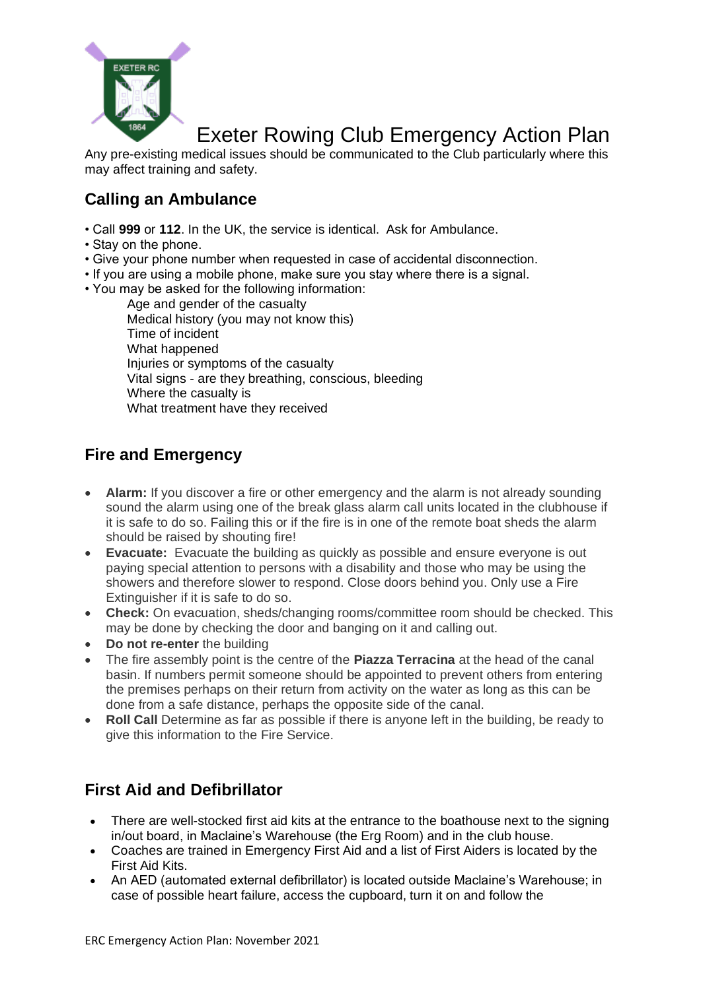

Any pre-existing medical issues should be communicated to the Club particularly where this may affect training and safety.

# **Calling an Ambulance**

- Call **999** or **112**. In the UK, the service is identical. Ask for Ambulance.
- Stay on the phone.
- Give your phone number when requested in case of accidental disconnection.
- If you are using a mobile phone, make sure you stay where there is a signal.
- You may be asked for the following information:

Age and gender of the casualty Medical history (you may not know this) Time of incident What happened Injuries or symptoms of the casualty Vital signs - are they breathing, conscious, bleeding Where the casualty is What treatment have they received

## **Fire and Emergency**

- **Alarm:** If you discover a fire or other emergency and the alarm is not already sounding sound the alarm using one of the break glass alarm call units located in the clubhouse if it is safe to do so. Failing this or if the fire is in one of the remote boat sheds the alarm should be raised by shouting fire!
- **Evacuate:** Evacuate the building as quickly as possible and ensure everyone is out paying special attention to persons with a disability and those who may be using the showers and therefore slower to respond. Close doors behind you. Only use a Fire Extinguisher if it is safe to do so.
- **Check:** On evacuation, sheds/changing rooms/committee room should be checked. This may be done by checking the door and banging on it and calling out.
- **Do not re-enter** the building
- The fire assembly point is the centre of the **Piazza Terracina** at the head of the canal basin. If numbers permit someone should be appointed to prevent others from entering the premises perhaps on their return from activity on the water as long as this can be done from a safe distance, perhaps the opposite side of the canal.
- **Roll Call** Determine as far as possible if there is anyone left in the building, be ready to give this information to the Fire Service.

# **First Aid and Defibrillator**

- There are well-stocked first aid kits at the entrance to the boathouse next to the signing in/out board, in Maclaine's Warehouse (the Erg Room) and in the club house.
- Coaches are trained in Emergency First Aid and a list of First Aiders is located by the First Aid Kits.
- An AED (automated external defibrillator) is located outside Maclaine's Warehouse; in case of possible heart failure, access the cupboard, turn it on and follow the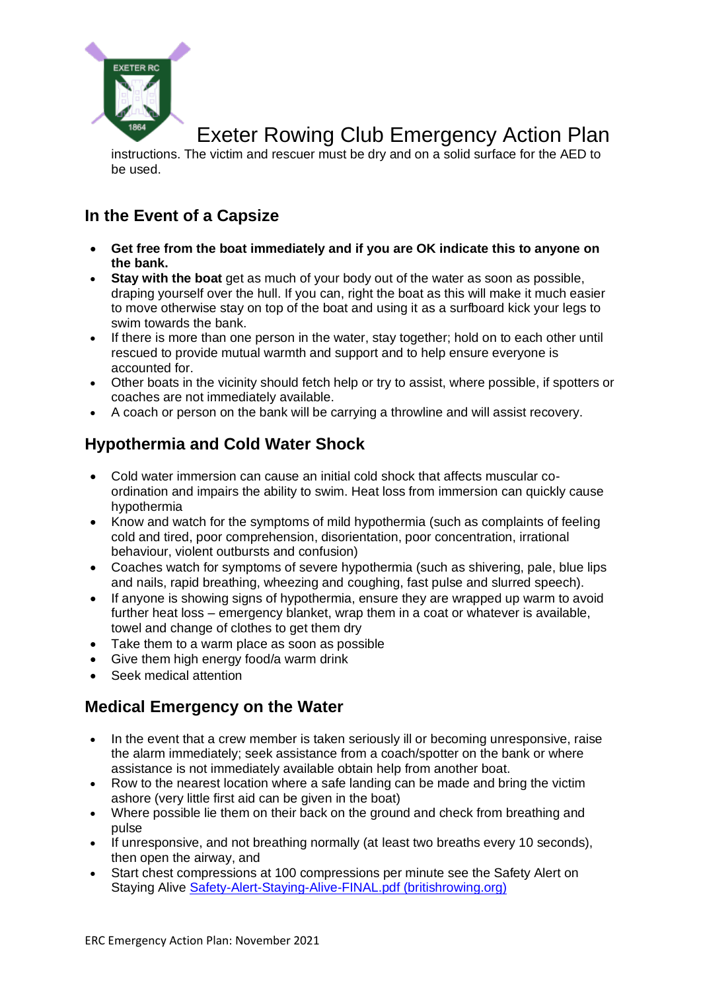

instructions. The victim and rescuer must be dry and on a solid surface for the AED to be used.

## **In the Event of a Capsize**

- **Get free from the boat immediately and if you are OK indicate this to anyone on the bank.**
- **Stay with the boat** get as much of your body out of the water as soon as possible, draping yourself over the hull. If you can, right the boat as this will make it much easier to move otherwise stay on top of the boat and using it as a surfboard kick your legs to swim towards the bank.
- If there is more than one person in the water, stay together; hold on to each other until rescued to provide mutual warmth and support and to help ensure everyone is accounted for.
- Other boats in the vicinity should fetch help or try to assist, where possible, if spotters or coaches are not immediately available.
- A coach or person on the bank will be carrying a throwline and will assist recovery.

## **Hypothermia and Cold Water Shock**

- Cold water immersion can cause an initial cold shock that affects muscular coordination and impairs the ability to swim. Heat loss from immersion can quickly cause hypothermia
- Know and watch for the symptoms of mild hypothermia (such as complaints of feeling cold and tired, poor comprehension, disorientation, poor concentration, irrational behaviour, violent outbursts and confusion)
- Coaches watch for symptoms of severe hypothermia (such as shivering, pale, blue lips and nails, rapid breathing, wheezing and coughing, fast pulse and slurred speech).
- If anyone is showing signs of hypothermia, ensure they are wrapped up warm to avoid further heat loss – emergency blanket, wrap them in a coat or whatever is available, towel and change of clothes to get them dry
- Take them to a warm place as soon as possible
- Give them high energy food/a warm drink
- Seek medical attention

## **Medical Emergency on the Water**

- In the event that a crew member is taken seriously ill or becoming unresponsive, raise the alarm immediately; seek assistance from a coach/spotter on the bank or where assistance is not immediately available obtain help from another boat.
- Row to the nearest location where a safe landing can be made and bring the victim ashore (very little first aid can be given in the boat)
- Where possible lie them on their back on the ground and check from breathing and pulse
- If unresponsive, and not breathing normally (at least two breaths every 10 seconds), then open the airway, and
- Start chest compressions at 100 compressions per minute see the Safety Alert on Staying Alive [Safety-Alert-Staying-Alive-FINAL.pdf \(britishrowing.org\)](https://www.britishrowing.org/wp-content/uploads/2016/07/Safety-Alert-Staying-Alive-FINAL.pdf)